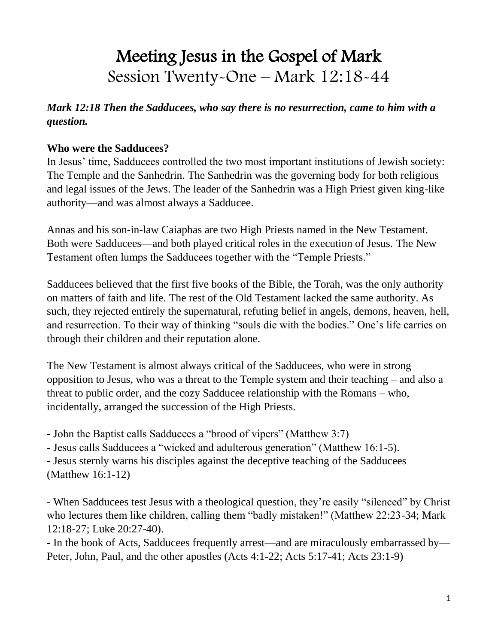# Meeting Jesus in the Gospel of Mark Session Twenty-One – Mark 12:18-44

*Mark 12:18 Then the Sadducees, who say there is no resurrection, came to him with a question.* 

#### **Who were the Sadducees?**

In Jesus' time, Sadducees controlled the two most important institutions of Jewish society: The Temple and the Sanhedrin. The Sanhedrin was the governing body for both religious and legal issues of the Jews. The leader of the Sanhedrin was a High Priest given king-like authority—and was almost always a Sadducee.

Annas and his son-in-law Caiaphas are two High Priests named in the New Testament. Both were Sadducees—and both played critical roles in the execution of Jesus. The New Testament often lumps the Sadducees together with the "Temple Priests."

Sadducees believed that the first five books of the Bible, the Torah, was the only authority on matters of faith and life. The rest of the Old Testament lacked the same authority. As such, they rejected entirely the supernatural, refuting belief in angels, demons, heaven, hell, and resurrection. To their way of thinking "souls die with the bodies." One's life carries on through their children and their reputation alone.

The New Testament is almost always critical of the Sadducees, who were in strong opposition to Jesus, who was a threat to the Temple system and their teaching – and also a threat to public order, and the cozy Sadducee relationship with the Romans – who, incidentally, arranged the succession of the High Priests.

- John the Baptist calls Sadducees a "brood of vipers" (Matthew 3:7)

- Jesus calls Sadducees a "wicked and adulterous generation" (Matthew 16:1-5).

- Jesus sternly warns his disciples against the deceptive teaching of the Sadducees (Matthew 16:1-12)

- When Sadducees test Jesus with a theological question, they're easily "silenced" by Christ who lectures them like children, calling them "badly mistaken!" (Matthew 22:23-34; Mark 12:18-27; Luke 20:27-40).

- In the book of Acts, Sadducees frequently arrest—and are miraculously embarrassed by— Peter, John, Paul, and the other apostles (Acts 4:1-22; Acts 5:17-41; Acts 23:1-9)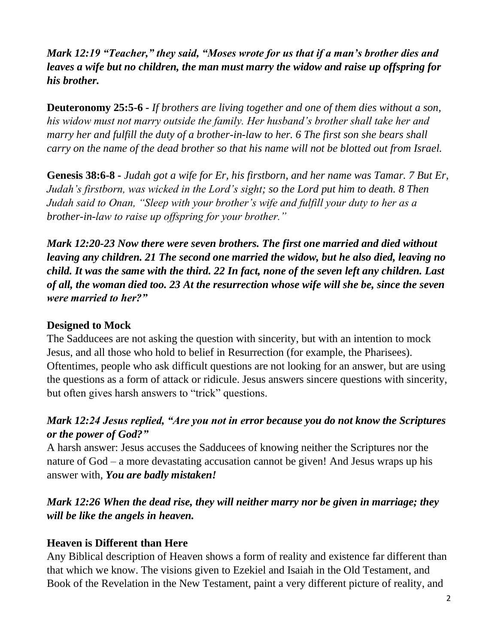*Mark 12:19 "Teacher," they said, "Moses wrote for us that if a man's brother dies and leaves a wife but no children, the man must marry the widow and raise up offspring for his brother.* 

**Deuteronomy 25:5-6** *- If brothers are living together and one of them dies without a son, his widow must not marry outside the family. Her husband's brother shall take her and marry her and fulfill the duty of a brother-in-law to her. 6 The first son she bears shall carry on the name of the dead brother so that his name will not be blotted out from Israel.*

**Genesis 38:6-8 -** *Judah got a wife for Er, his firstborn, and her name was Tamar. 7 But Er, Judah's firstborn, was wicked in the Lord's sight; so the Lord put him to death. 8 Then Judah said to Onan, "Sleep with your brother's wife and fulfill your duty to her as a brother-in-law to raise up offspring for your brother."*

*Mark 12:20-23 Now there were seven brothers. The first one married and died without leaving any children. 21 The second one married the widow, but he also died, leaving no child. It was the same with the third. 22 In fact, none of the seven left any children. Last of all, the woman died too. 23 At the resurrection whose wife will she be, since the seven were married to her?"*

#### **Designed to Mock**

The Sadducees are not asking the question with sincerity, but with an intention to mock Jesus, and all those who hold to belief in Resurrection (for example, the Pharisees). Oftentimes, people who ask difficult questions are not looking for an answer, but are using the questions as a form of attack or ridicule. Jesus answers sincere questions with sincerity, but often gives harsh answers to "trick" questions.

#### *Mark 12:24 Jesus replied, "Are you not in error because you do not know the Scriptures or the power of God?"*

A harsh answer: Jesus accuses the Sadducees of knowing neither the Scriptures nor the nature of God – a more devastating accusation cannot be given! And Jesus wraps up his answer with*, You are badly mistaken!*

### *Mark 12:26 When the dead rise, they will neither marry nor be given in marriage; they will be like the angels in heaven.*

#### **Heaven is Different than Here**

Any Biblical description of Heaven shows a form of reality and existence far different than that which we know. The visions given to Ezekiel and Isaiah in the Old Testament, and Book of the Revelation in the New Testament, paint a very different picture of reality, and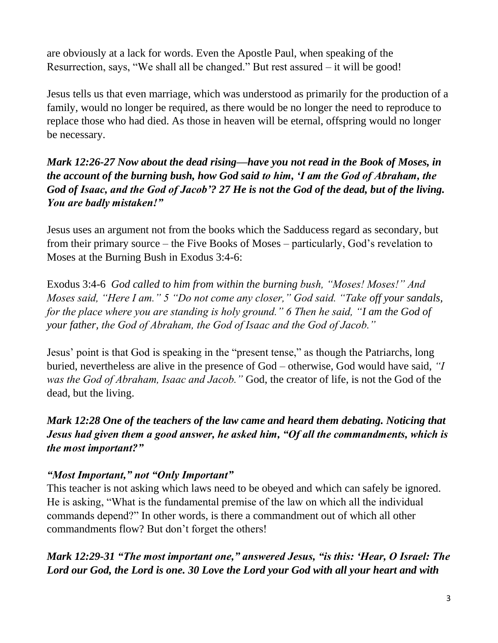are obviously at a lack for words. Even the Apostle Paul, when speaking of the Resurrection, says, "We shall all be changed." But rest assured – it will be good!

Jesus tells us that even marriage, which was understood as primarily for the production of a family, would no longer be required, as there would be no longer the need to reproduce to replace those who had died. As those in heaven will be eternal, offspring would no longer be necessary.

*Mark 12:26-27 Now about the dead rising—have you not read in the Book of Moses, in the account of the burning bush, how God said to him, 'I am the God of Abraham, the God of Isaac, and the God of Jacob'? 27 He is not the God of the dead, but of the living. You are badly mistaken!"*

Jesus uses an argument not from the books which the Sadducess regard as secondary, but from their primary source – the Five Books of Moses – particularly, God's revelation to Moses at the Burning Bush in Exodus 3:4-6:

Exodus 3:4-6 *God called to him from within the burning bush, "Moses! Moses!" And Moses said, "Here I am." 5 "Do not come any closer," God said. "Take off your sandals, for the place where you are standing is holy ground." 6 Then he said, "I am the God of your father, the God of Abraham, the God of Isaac and the God of Jacob."* 

Jesus' point is that God is speaking in the "present tense," as though the Patriarchs, long buried, nevertheless are alive in the presence of God – otherwise, God would have said, *"I was the God of Abraham, Isaac and Jacob."* God, the creator of life, is not the God of the dead, but the living.

# *Mark 12:28 One of the teachers of the law came and heard them debating. Noticing that Jesus had given them a good answer, he asked him, "Of all the commandments, which is the most important?"*

# *"Most Important," not "Only Important"*

This teacher is not asking which laws need to be obeyed and which can safely be ignored. He is asking, "What is the fundamental premise of the law on which all the individual commands depend?" In other words, is there a commandment out of which all other commandments flow? But don't forget the others!

*Mark 12:29-31 "The most important one," answered Jesus, "is this: 'Hear, O Israel: The Lord our God, the Lord is one. 30 Love the Lord your God with all your heart and with*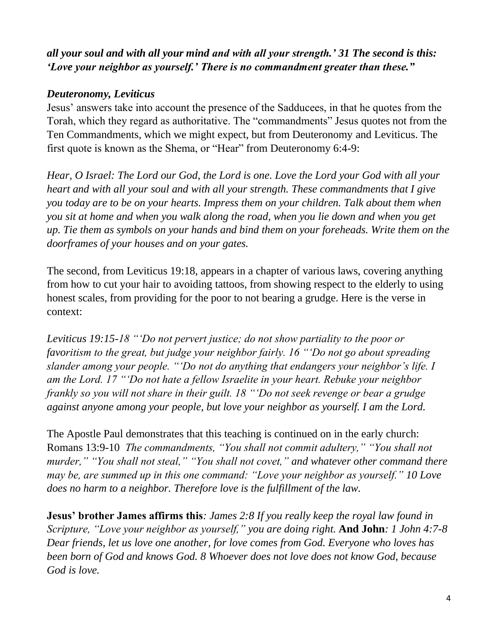# *all your soul and with all your mind and with all your strength.' 31 The second is this: 'Love your neighbor as yourself.' There is no commandment greater than these."*

#### *Deuteronomy, Leviticus*

Jesus' answers take into account the presence of the Sadducees, in that he quotes from the Torah, which they regard as authoritative. The "commandments" Jesus quotes not from the Ten Commandments, which we might expect, but from Deuteronomy and Leviticus. The first quote is known as the Shema, or "Hear" from Deuteronomy 6:4-9:

*Hear, O Israel: The Lord our God, the Lord is one. Love the Lord your God with all your heart and with all your soul and with all your strength. These commandments that I give you today are to be on your hearts. Impress them on your children. Talk about them when you sit at home and when you walk along the road, when you lie down and when you get up. Tie them as symbols on your hands and bind them on your foreheads. Write them on the doorframes of your houses and on your gates.*

The second, from Leviticus 19:18, appears in a chapter of various laws, covering anything from how to cut your hair to avoiding tattoos, from showing respect to the elderly to using honest scales, from providing for the poor to not bearing a grudge. Here is the verse in context:

*Leviticus 19:15-18 "'Do not pervert justice; do not show partiality to the poor or favoritism to the great, but judge your neighbor fairly. 16 "'Do not go about spreading slander among your people. "'Do not do anything that endangers your neighbor's life. I am the Lord. 17 "'Do not hate a fellow Israelite in your heart. Rebuke your neighbor frankly so you will not share in their guilt. 18 "'Do not seek revenge or bear a grudge against anyone among your people, but love your neighbor as yourself. I am the Lord.*

The Apostle Paul demonstrates that this teaching is continued on in the early church: Romans 13:9-10 *The commandments, "You shall not commit adultery," "You shall not murder," "You shall not steal," "You shall not covet," and whatever other command there may be, are summed up in this one command: "Love your neighbor as yourself." 10 Love does no harm to a neighbor. Therefore love is the fulfillment of the law.*

**Jesus' brother James affirms this***: James 2:8 If you really keep the royal law found in Scripture, "Love your neighbor as yourself," you are doing right.* **And John***: 1 John 4:7-8 Dear friends, let us love one another, for love comes from God. Everyone who loves has been born of God and knows God. 8 Whoever does not love does not know God, because God is love.*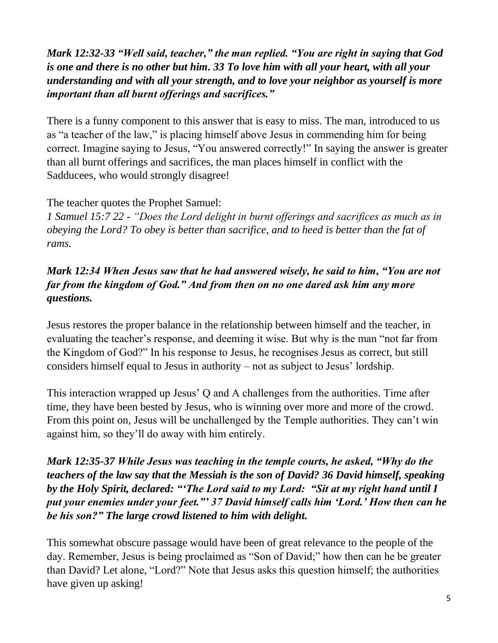# *Mark 12:32-33 "Well said, teacher," the man replied. "You are right in saying that God is one and there is no other but him. 33 To love him with all your heart, with all your understanding and with all your strength, and to love your neighbor as yourself is more important than all burnt offerings and sacrifices."*

There is a funny component to this answer that is easy to miss. The man, introduced to us as "a teacher of the law," is placing himself above Jesus in commending him for being correct. Imagine saying to Jesus, "You answered correctly!" In saying the answer is greater than all burnt offerings and sacrifices, the man places himself in conflict with the Sadducees, who would strongly disagree!

### The teacher quotes the Prophet Samuel:

*1 Samuel 15:7 22 - "Does the Lord delight in burnt offerings and sacrifices as much as in obeying the Lord? To obey is better than sacrifice, and to heed is better than the fat of rams.*

# *Mark 12:34 When Jesus saw that he had answered wisely, he said to him, "You are not far from the kingdom of God." And from then on no one dared ask him any more questions.*

Jesus restores the proper balance in the relationship between himself and the teacher, in evaluating the teacher's response, and deeming it wise. But why is the man "not far from the Kingdom of God?" In his response to Jesus, he recognises Jesus as correct, but still considers himself equal to Jesus in authority – not as subject to Jesus' lordship.

This interaction wrapped up Jesus' Q and A challenges from the authorities. Time after time, they have been bested by Jesus, who is winning over more and more of the crowd. From this point on, Jesus will be unchallenged by the Temple authorities. They can't win against him, so they'll do away with him entirely.

# *Mark 12:35-37 While Jesus was teaching in the temple courts, he asked, "Why do the teachers of the law say that the Messiah is the son of David? 36 David himself, speaking by the Holy Spirit, declared: "'The Lord said to my Lord: "Sit at my right hand until I put your enemies under your feet."' 37 David himself calls him 'Lord.' How then can he be his son?" The large crowd listened to him with delight.*

This somewhat obscure passage would have been of great relevance to the people of the day. Remember, Jesus is being proclaimed as "Son of David;" how then can he be greater than David? Let alone, "Lord?" Note that Jesus asks this question himself; the authorities have given up asking!